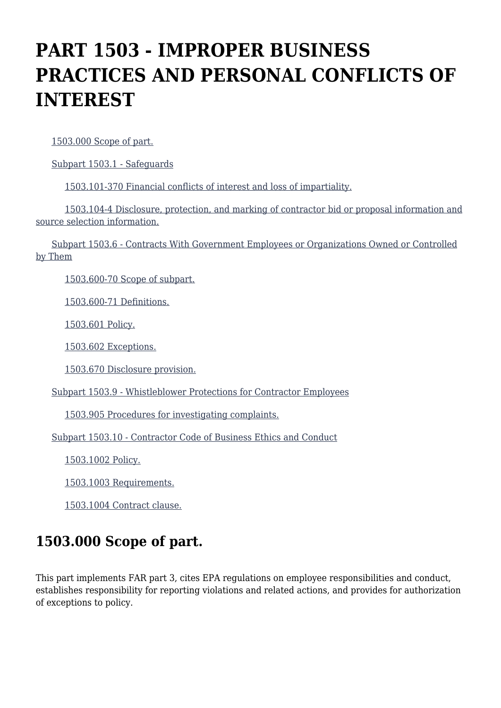# **PART 1503 - IMPROPER BUSINESS PRACTICES AND PERSONAL CONFLICTS OF INTEREST**

[1503.000 Scope of part.](https://origin-www.acquisition.gov/%5Brp:link:epaar-part-1503%5D#Section_1503_000_T48_60114011)

[Subpart 1503.1 - Safeguards](https://origin-www.acquisition.gov/%5Brp:link:epaar-part-1503%5D#Subpart_1503_1_T48_601141)

[1503.101-370 Financial conflicts of interest and loss of impartiality.](https://origin-www.acquisition.gov/%5Brp:link:epaar-part-1503%5D#Section_1503_101_370_T48_60114111)

 [1503.104-4 Disclosure, protection, and marking of contractor bid or proposal information and](https://origin-www.acquisition.gov/%5Brp:link:epaar-part-1503%5D#Section_1503_104_4_T48_60114112) [source selection information.](https://origin-www.acquisition.gov/%5Brp:link:epaar-part-1503%5D#Section_1503_104_4_T48_60114112)

 [Subpart 1503.6 - Contracts With Government Employees or Organizations Owned or Controlled](https://origin-www.acquisition.gov/%5Brp:link:epaar-part-1503%5D#Subpart_1503_6_T48_601142) [by Them](https://origin-www.acquisition.gov/%5Brp:link:epaar-part-1503%5D#Subpart_1503_6_T48_601142)

[1503.600-70 Scope of subpart.](https://origin-www.acquisition.gov/%5Brp:link:epaar-part-1503%5D#Section_1503_600_70_T48_60114211)

[1503.600-71 Definitions.](https://origin-www.acquisition.gov/%5Brp:link:epaar-part-1503%5D#Section_1503_600_71_T48_60114212)

[1503.601 Policy.](https://origin-www.acquisition.gov/%5Brp:link:epaar-part-1503%5D#Section_1503_601_T48_60114213)

[1503.602 Exceptions.](https://origin-www.acquisition.gov/%5Brp:link:epaar-part-1503%5D#Section_1503_602_T48_60114214)

[1503.670 Disclosure provision.](https://origin-www.acquisition.gov/%5Brp:link:epaar-part-1503%5D#Section_1503_670_T48_60114215)

[Subpart 1503.9 - Whistleblower Protections for Contractor Employees](https://origin-www.acquisition.gov/%5Brp:link:epaar-part-1503%5D#Subpart_1503_9_T48_601143)

[1503.905 Procedures for investigating complaints.](https://origin-www.acquisition.gov/%5Brp:link:epaar-part-1503%5D#Section_1503_905_T48_60114311)

[Subpart 1503.10 - Contractor Code of Business Ethics and Conduct](https://origin-www.acquisition.gov/%5Brp:link:epaar-part-1503%5D#Subpart_1503_10_T48_601144)

[1503.1002 Policy.](https://origin-www.acquisition.gov/%5Brp:link:epaar-part-1503%5D#Section_1503_1002_T48_60114411)

[1503.1003 Requirements.](https://origin-www.acquisition.gov/%5Brp:link:epaar-part-1503%5D#Section_1503_1003_T48_60114412)

[1503.1004 Contract clause.](https://origin-www.acquisition.gov/%5Brp:link:epaar-part-1503%5D#Section_1503_1004_T48_60114413)

## **1503.000 Scope of part.**

This part implements FAR part 3, cites EPA regulations on employee responsibilities and conduct, establishes responsibility for reporting violations and related actions, and provides for authorization of exceptions to policy.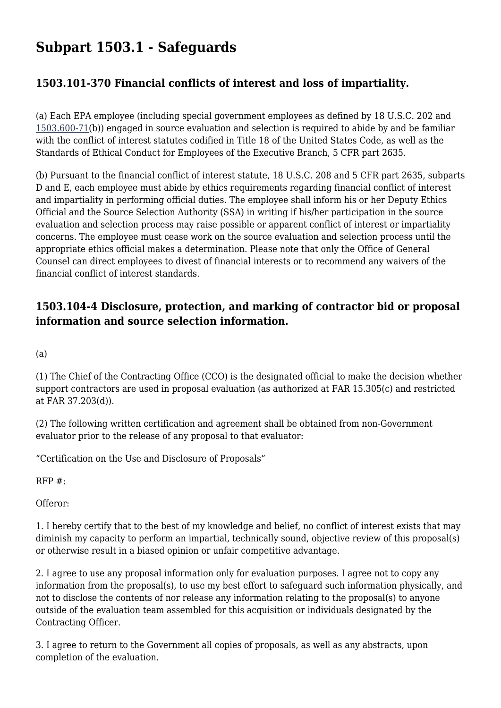# **Subpart 1503.1 - Safeguards**

### **1503.101-370 Financial conflicts of interest and loss of impartiality.**

(a) Each EPA employee (including special government employees as defined by 18 U.S.C. 202 and [1503.600-71\(](https://origin-www.acquisition.gov/%5Brp:link:epaar-part-1503%5D#Section_1503_600_71_T48_60114212)b)) engaged in source evaluation and selection is required to abide by and be familiar with the conflict of interest statutes codified in Title 18 of the United States Code, as well as the Standards of Ethical Conduct for Employees of the Executive Branch, 5 CFR part 2635.

(b) Pursuant to the financial conflict of interest statute, 18 U.S.C. 208 and 5 CFR part 2635, subparts D and E, each employee must abide by ethics requirements regarding financial conflict of interest and impartiality in performing official duties. The employee shall inform his or her Deputy Ethics Official and the Source Selection Authority (SSA) in writing if his/her participation in the source evaluation and selection process may raise possible or apparent conflict of interest or impartiality concerns. The employee must cease work on the source evaluation and selection process until the appropriate ethics official makes a determination. Please note that only the Office of General Counsel can direct employees to divest of financial interests or to recommend any waivers of the financial conflict of interest standards.

#### **1503.104-4 Disclosure, protection, and marking of contractor bid or proposal information and source selection information.**

(a)

(1) The Chief of the Contracting Office (CCO) is the designated official to make the decision whether support contractors are used in proposal evaluation (as authorized at FAR 15.305(c) and restricted at FAR 37.203(d)).

(2) The following written certification and agreement shall be obtained from non-Government evaluator prior to the release of any proposal to that evaluator:

"Certification on the Use and Disclosure of Proposals"

 $RFP#$ :

Offeror:

1. I hereby certify that to the best of my knowledge and belief, no conflict of interest exists that may diminish my capacity to perform an impartial, technically sound, objective review of this proposal(s) or otherwise result in a biased opinion or unfair competitive advantage.

2. I agree to use any proposal information only for evaluation purposes. I agree not to copy any information from the proposal(s), to use my best effort to safeguard such information physically, and not to disclose the contents of nor release any information relating to the proposal(s) to anyone outside of the evaluation team assembled for this acquisition or individuals designated by the Contracting Officer.

3. I agree to return to the Government all copies of proposals, as well as any abstracts, upon completion of the evaluation.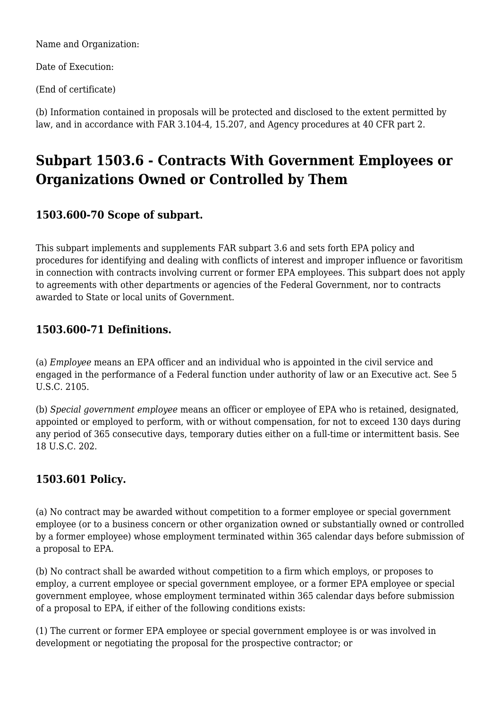Name and Organization:

Date of Execution:

(End of certificate)

(b) Information contained in proposals will be protected and disclosed to the extent permitted by law, and in accordance with FAR 3.104-4, 15.207, and Agency procedures at 40 CFR part 2.

# **Subpart 1503.6 - Contracts With Government Employees or Organizations Owned or Controlled by Them**

### **1503.600-70 Scope of subpart.**

This subpart implements and supplements FAR subpart 3.6 and sets forth EPA policy and procedures for identifying and dealing with conflicts of interest and improper influence or favoritism in connection with contracts involving current or former EPA employees. This subpart does not apply to agreements with other departments or agencies of the Federal Government, nor to contracts awarded to State or local units of Government.

### **1503.600-71 Definitions.**

(a) *Employee* means an EPA officer and an individual who is appointed in the civil service and engaged in the performance of a Federal function under authority of law or an Executive act. See 5 U.S.C. 2105.

(b) *Special government employee* means an officer or employee of EPA who is retained, designated, appointed or employed to perform, with or without compensation, for not to exceed 130 days during any period of 365 consecutive days, temporary duties either on a full-time or intermittent basis. See 18 U.S.C. 202.

### **1503.601 Policy.**

(a) No contract may be awarded without competition to a former employee or special government employee (or to a business concern or other organization owned or substantially owned or controlled by a former employee) whose employment terminated within 365 calendar days before submission of a proposal to EPA.

(b) No contract shall be awarded without competition to a firm which employs, or proposes to employ, a current employee or special government employee, or a former EPA employee or special government employee, whose employment terminated within 365 calendar days before submission of a proposal to EPA, if either of the following conditions exists:

(1) The current or former EPA employee or special government employee is or was involved in development or negotiating the proposal for the prospective contractor; or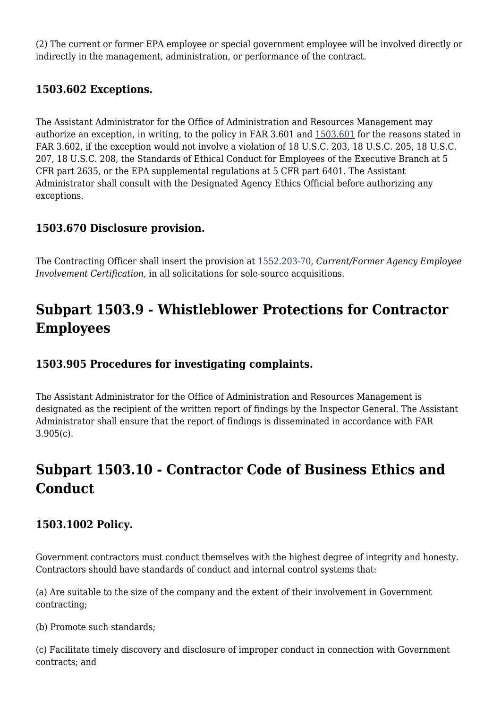(2) The current or former EPA employee or special government employee will be involved directly or indirectly in the management, administration, or performance of the contract.

#### **1503.602 Exceptions.**

The Assistant Administrator for the Office of Administration and Resources Management may authorize an exception, in writing, to the policy in FAR 3.601 and [1503.601](https://origin-www.acquisition.gov/%5Brp:link:epaar-part-1503%5D#Section_1503_601_T48_60114213) for the reasons stated in FAR 3.602, if the exception would not involve a violation of 18 U.S.C. 203, 18 U.S.C. 205, 18 U.S.C. 207, 18 U.S.C. 208, the Standards of Ethical Conduct for Employees of the Executive Branch at 5 CFR part 2635, or the EPA supplemental regulations at 5 CFR part 6401. The Assistant Administrator shall consult with the Designated Agency Ethics Official before authorizing any exceptions.

#### **1503.670 Disclosure provision.**

The Contracting Officer shall insert the provision at [1552.203-70,](https://origin-www.acquisition.gov/%5Brp:link:epaar-part-1552%5D#Section_1552_203_70_T48_601837111) *Current/Former Agency Employee Involvement Certification,* in all solicitations for sole-source acquisitions.

# **Subpart 1503.9 - Whistleblower Protections for Contractor Employees**

#### **1503.905 Procedures for investigating complaints.**

The Assistant Administrator for the Office of Administration and Resources Management is designated as the recipient of the written report of findings by the Inspector General. The Assistant Administrator shall ensure that the report of findings is disseminated in accordance with FAR 3.905(c).

# **Subpart 1503.10 - Contractor Code of Business Ethics and Conduct**

#### **1503.1002 Policy.**

Government contractors must conduct themselves with the highest degree of integrity and honesty. Contractors should have standards of conduct and internal control systems that:

(a) Are suitable to the size of the company and the extent of their involvement in Government contracting;

(b) Promote such standards;

(c) Facilitate timely discovery and disclosure of improper conduct in connection with Government contracts; and